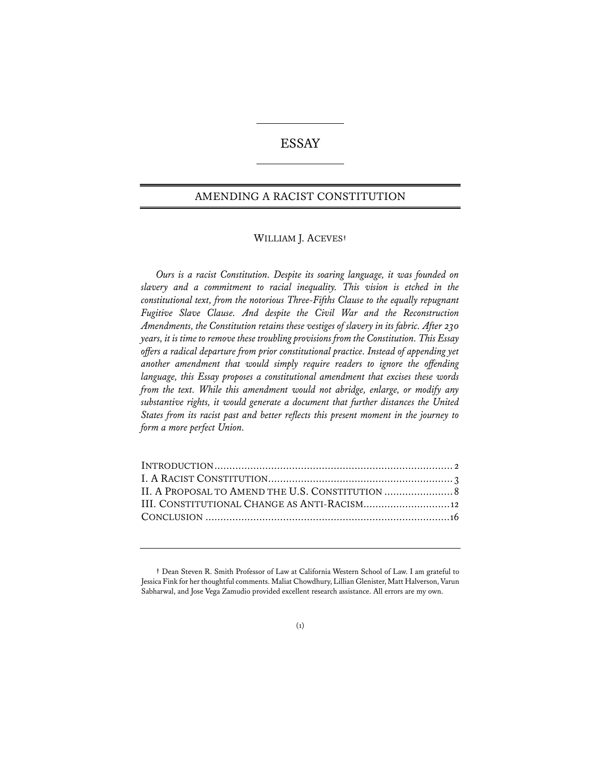# ESSAY

## AMENDING A RACIST CONSTITUTION

## WILLIAM J. ACEVES**†**

*Ours is a racist Constitution. Despite its soaring language, it was founded on slavery and a commitment to racial inequality. This vision is etched in the constitutional text, from the notorious Three-Fifths Clause to the equally repugnant Fugitive Slave Clause. And despite the Civil War and the Reconstruction Amendments, the Constitution retains these vestiges of slavery in its fabric. After 230 years, it is time to remove these troubling provisions from the Constitution. This Essay offers a radical departure from prior constitutional practice. Instead of appending yet another amendment that would simply require readers to ignore the offending language, this Essay proposes a constitutional amendment that excises these words from the text. While this amendment would not abridge, enlarge, or modify any substantive rights, it would generate a document that further distances the United States from its racist past and better refects this present moment in the journey to form a more perfect Union.*

| III. CONSTITUTIONAL CHANGE AS ANTI-RACISM 12 |
|----------------------------------------------|
|                                              |
|                                              |

#### (1)

**<sup>†</sup>** Dean Steven R. Smith Professor of Law at California Western School of Law. I am grateful to Jessica Fink for her thoughtful comments. Maliat Chowdhury, Lillian Glenister, Matt Halverson, Varun Sabharwal, and Jose Vega Zamudio provided excellent research assistance. All errors are my own.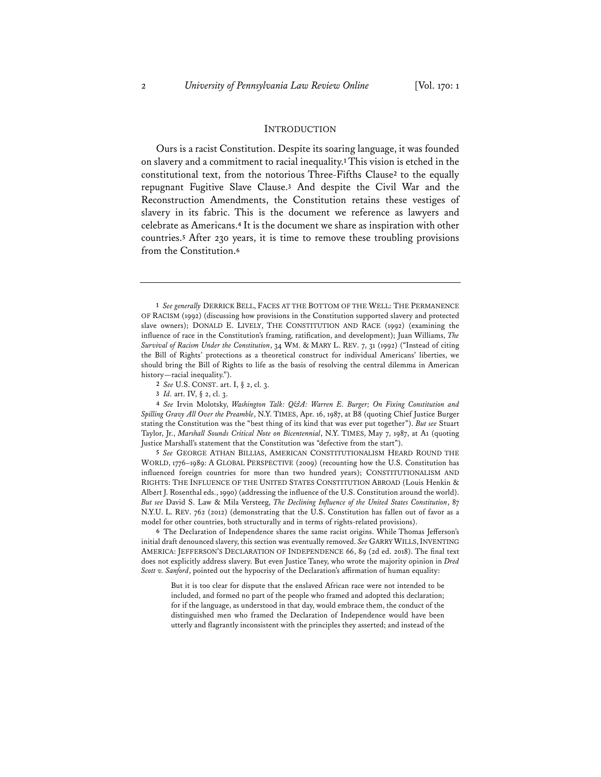#### **INTRODUCTION**

Ours is a racist Constitution. Despite its soaring language, it was founded on slavery and a commitment to racial inequality.**<sup>1</sup>** This vision is etched in the constitutional text, from the notorious Three-Fifths Clause**<sup>2</sup>** to the equally repugnant Fugitive Slave Clause.**<sup>3</sup>** And despite the Civil War and the Reconstruction Amendments, the Constitution retains these vestiges of slavery in its fabric. This is the document we reference as lawyers and celebrate as Americans.**<sup>4</sup>** It is the document we share as inspiration with other countries.**<sup>5</sup>** After 230 years, it is time to remove these troubling provisions from the Constitution.**<sup>6</sup>**

**4** *See* Irvin Molotsky, *Washington Talk: Q&A: Warren E. Burger; On Fixing Constitution and Spilling Gravy All Over the Preamble*, N.Y. TIMES, Apr. 16, 1987, at B8 (quoting Chief Justice Burger stating the Constitution was the "best thing of its kind that was ever put together"). *But see* Stuart Taylor, Jr., *Marshall Sounds Critical Note on Bicentennial*, N.Y. TIMES, May 7, 1987, at A1 (quoting Justice Marshall's statement that the Constitution was "defective from the start").

**5** *See* GEORGE ATHAN BILLIAS, AMERICAN CONSTITUTIONALISM HEARD ROUND THE WORLD, 1776–1989: A GLOBAL PERSPECTIVE (2009) (recounting how the U.S. Constitution has influenced foreign countries for more than two hundred years); CONSTITUTIONALISM AND RIGHTS: THE INFLUENCE OF THE UNITED STATES CONSTITUTION ABROAD (Louis Henkin & Albert J. Rosenthal eds., 1990) (addressing the influence of the U.S. Constitution around the world). *But see* David S. Law & Mila Versteeg, *The Declining Infuence of the United States Constitution*, 87 N.Y.U. L. REV. 762 (2012) (demonstrating that the U.S. Constitution has fallen out of favor as a model for other countries, both structurally and in terms of rights-related provisions).

**6** The Declaration of Independence shares the same racist origins. While Thomas Jefferson's initial draft denounced slavery, this section was eventually removed. *See* GARRY WILLS,INVENTING AMERICA: JEFFERSON'S DECLARATION OF INDEPENDENCE 66, 89 (2d ed. 2018). The final text does not explicitly address slavery. But even Justice Taney, who wrote the majority opinion in *Dred Scott v. Sanford*, pointed out the hypocrisy of the Declaration's affirmation of human equality:

But it is too clear for dispute that the enslaved African race were not intended to be included, and formed no part of the people who framed and adopted this declaration; for if the language, as understood in that day, would embrace them, the conduct of the distinguished men who framed the Declaration of Independence would have been utterly and flagrantly inconsistent with the principles they asserted; and instead of the

**<sup>1</sup>** *See generally* DERRICK BELL, FACES AT THE BOTTOM OF THE WELL: THE PERMANENCE OF RACISM (1992) (discussing how provisions in the Constitution supported slavery and protected slave owners); DONALD E. LIVELY, THE CONSTITUTION AND RACE (1992) (examining the influence of race in the Constitution's framing, ratification, and development); Juan Williams, *The Survival of Racism Under the Constitution*, 34 WM. & MARY L. REV. 7, 31 (1992) ("Instead of citing the Bill of Rights' protections as a theoretical construct for individual Americans' liberties, we should bring the Bill of Rights to life as the basis of resolving the central dilemma in American history—racial inequality.").

**<sup>2</sup>** *See* U.S. CONST. art. I, § 2, cl. 3.

**<sup>3</sup>** *Id.* art. IV, § 2, cl. 3.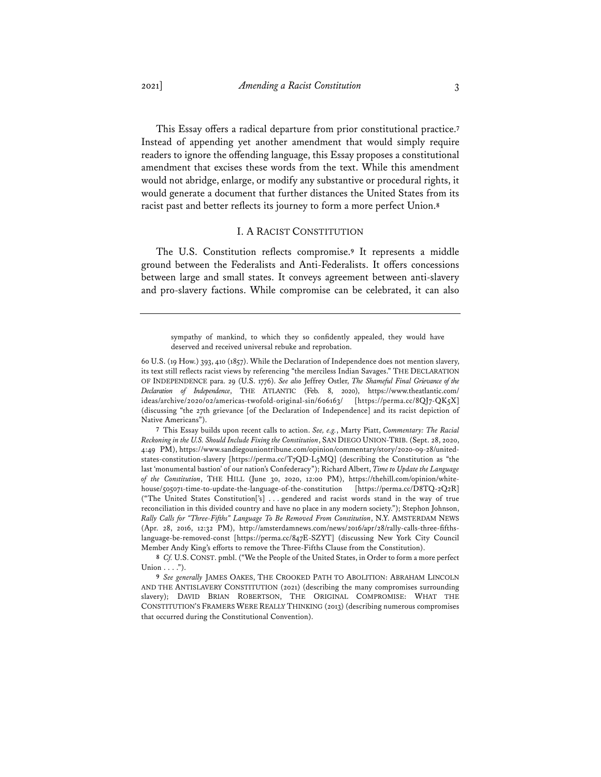This Essay offers a radical departure from prior constitutional practice.**<sup>7</sup>** Instead of appending yet another amendment that would simply require readers to ignore the offending language, this Essay proposes a constitutional amendment that excises these words from the text. While this amendment would not abridge, enlarge, or modify any substantive or procedural rights, it would generate a document that further distances the United States from its racist past and better reflects its journey to form a more perfect Union.**<sup>8</sup>**

#### I. A RACIST CONSTITUTION

The U.S. Constitution reflects compromise.**<sup>9</sup>** It represents a middle ground between the Federalists and Anti-Federalists. It offers concessions between large and small states. It conveys agreement between anti-slavery and pro-slavery factions. While compromise can be celebrated, it can also

sympathy of mankind, to which they so confidently appealed, they would have deserved and received universal rebuke and reprobation.

<sup>60</sup> U.S. (19 How.) 393, 410 (1857). While the Declaration of Independence does not mention slavery, its text still reflects racist views by referencing "the merciless Indian Savages." THE DECLARATION OF INDEPENDENCE para. 29 (U.S. 1776). *See also* Jeffrey Ostler, *The Shameful Final Grievance of the Declaration of Independence*, THE ATLANTIC (Feb. 8, 2020), https://www.theatlantic.com/ ideas/archive/2020/02/americas-twofold-original-sin/606163/ [https://perma.cc/8QJ7-QK5X] (discussing "the 27th grievance [of the Declaration of Independence] and its racist depiction of Native Americans").

**<sup>7</sup>** This Essay builds upon recent calls to action. *See, e.g.*, Marty Piatt, *Commentary: The Racial Reckoning in the U.S. Should Include Fixing the Constitution*, SAN DIEGO UNION-TRIB. (Sept. 28, 2020, 4:49 PM), https://www.sandiegouniontribune.com/opinion/commentary/story/2020-09-28/unitedstates-constitution-slavery [https://perma.cc/T7QD-L5MQ] (describing the Constitution as "the last 'monumental bastion' of our nation's Confederacy"); Richard Albert, *Time to Update the Language of the Constitution*, THE HILL (June 30, 2020, 12:00 PM), https://thehill.com/opinion/whitehouse/505071-time-to-update-the-language-of-the-constitution [https://perma.cc/D8TQ-2Q2R] ("The United States Constitution['s] . . . gendered and racist words stand in the way of true reconciliation in this divided country and have no place in any modern society."); Stephon Johnson, *Rally Calls for "Three-Fifths" Language To Be Removed From Constitution*, N.Y. AMSTERDAM NEWS (Apr. 28, 2016, 12:32 PM), http://amsterdamnews.com/news/2016/apr/28/rally-calls-three-fifthslanguage-be-removed-const [https://perma.cc/847E-SZYT] (discussing New York City Council Member Andy King's efforts to remove the Three-Fifths Clause from the Constitution).

**<sup>8</sup>** *Cf.* U.S.CONST. pmbl. ("We the People of the United States, in Order to form a more perfect Union  $\dots$ .").

**<sup>9</sup>** *See generally* JAMES OAKES, THE CROOKED PATH TO ABOLITION: ABRAHAM LINCOLN AND THE ANTISLAVERY CONSTITUTION (2021) (describing the many compromises surrounding slavery); DAVID BRIAN ROBERTSON, THE ORIGINAL COMPROMISE: WHAT THE CONSTITUTION'S FRAMERS WERE REALLY THINKING (2013) (describing numerous compromises that occurred during the Constitutional Convention).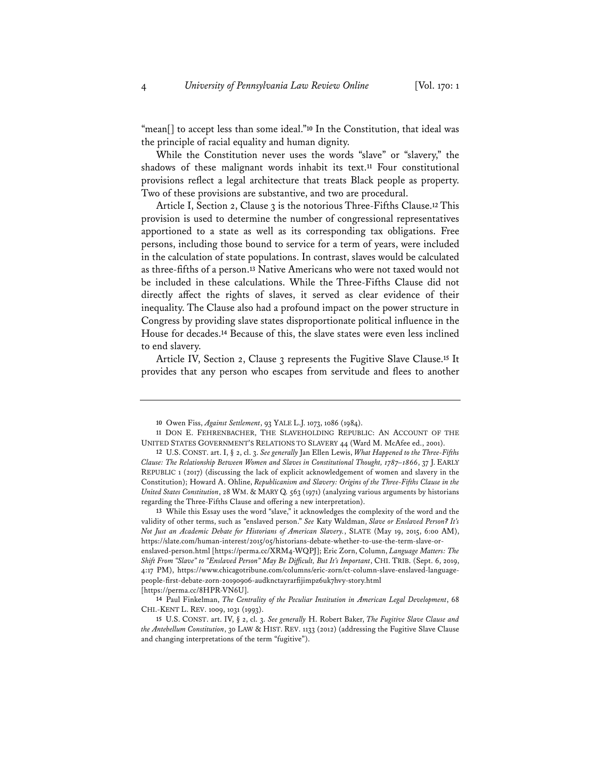"mean[] to accept less than some ideal."**<sup>10</sup>** In the Constitution, that ideal was the principle of racial equality and human dignity.

While the Constitution never uses the words "slave" or "slavery," the shadows of these malignant words inhabit its text.**<sup>11</sup>** Four constitutional provisions reflect a legal architecture that treats Black people as property. Two of these provisions are substantive, and two are procedural.

Article I, Section 2, Clause 3 is the notorious Three-Fifths Clause.**<sup>12</sup>** This provision is used to determine the number of congressional representatives apportioned to a state as well as its corresponding tax obligations. Free persons, including those bound to service for a term of years, were included in the calculation of state populations. In contrast, slaves would be calculated as three-fifths of a person.**<sup>13</sup>** Native Americans who were not taxed would not be included in these calculations. While the Three-Fifths Clause did not directly affect the rights of slaves, it served as clear evidence of their inequality. The Clause also had a profound impact on the power structure in Congress by providing slave states disproportionate political influence in the House for decades.**<sup>14</sup>** Because of this, the slave states were even less inclined to end slavery.

Article IV, Section 2, Clause 3 represents the Fugitive Slave Clause.**<sup>15</sup>** It provides that any person who escapes from servitude and flees to another

**13** While this Essay uses the word "slave," it acknowledges the complexity of the word and the validity of other terms, such as "enslaved person." *See* Katy Waldman, *Slave or Enslaved Person? It's Not Just an Academic Debate for Historians of American Slavery.*, SLATE (May 19, 2015, 6:00 AM), https://slate.com/human-interest/2015/05/historians-debate-whether-to-use-the-term-slave-orenslaved-person.html [https://perma.cc/XRM4-WQPJ]; Eric Zorn, Column, *Language Matters: The Shift From "Slave" to "Enslaved Person" May Be Difficult, But It's Important*, CHI. TRIB. (Sept. 6, 2019, 4:17 PM), https://www.chicagotribune.com/columns/eric-zorn/ct-column-slave-enslaved-languagepeople-first-debate-zorn-20190906-audknctayrarfijimpz6uk7hvy-story.html [https://perma.cc/8HPR-VN6U].

**14** Paul Finkelman, *The Centrality of the Peculiar Institution in American Legal Development*, 68 CHI.-KENT L. REV. 1009, 1031 (1993).

**<sup>10</sup>** Owen Fiss, *Against Settlement*, 93 YALE L.J. 1073, 1086 (1984).

**<sup>11</sup>** DON E. FEHRENBACHER, THE SLAVEHOLDING REPUBLIC: AN ACCOUNT OF THE UNITED STATES GOVERNMENT'S RELATIONS TO SLAVERY 44 (Ward M. McAfee ed., 2001).

**<sup>12</sup>** U.S. CONST. art. I, § 2, cl. 3. *See generally* Jan Ellen Lewis, *What Happened to the Three-Fifths Clause: The Relationship Between Women and Slaves in Constitutional Thought, 1787–1866*, 37 J. EARLY REPUBLIC 1 (2017) (discussing the lack of explicit acknowledgement of women and slavery in the Constitution); Howard A. Ohline, *Republicanism and Slavery: Origins of the Three-Fifths Clause in the United States Constitution*, 28 WM. & MARY Q. 563 (1971) (analyzing various arguments by historians regarding the Three-Fifths Clause and offering a new interpretation).

**<sup>15</sup>** U.S. CONST. art. IV, § 2, cl. 3. *See generally* H. Robert Baker, *The Fugitive Slave Clause and the Antebellum Constitution*, 30 LAW & HIST. REV. 1133 (2012) (addressing the Fugitive Slave Clause and changing interpretations of the term "fugitive").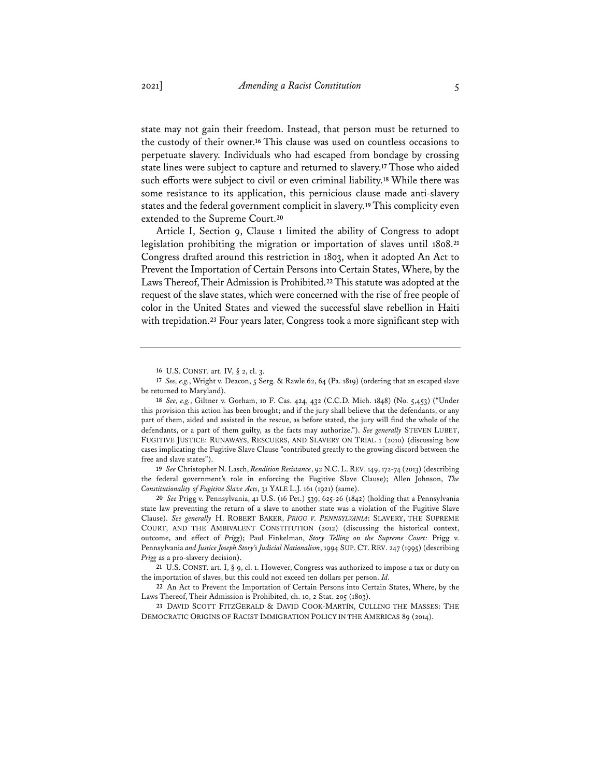state may not gain their freedom. Instead, that person must be returned to the custody of their owner.**<sup>16</sup>** This clause was used on countless occasions to perpetuate slavery. Individuals who had escaped from bondage by crossing state lines were subject to capture and returned to slavery.**<sup>17</sup>** Those who aided such efforts were subject to civil or even criminal liability.**<sup>18</sup>** While there was some resistance to its application, this pernicious clause made anti-slavery states and the federal government complicit in slavery.**19**This complicity even extended to the Supreme Court.**<sup>20</sup>**

Article I, Section 9, Clause 1 limited the ability of Congress to adopt legislation prohibiting the migration or importation of slaves until 1808.**<sup>21</sup>** Congress drafted around this restriction in 1803, when it adopted An Act to Prevent the Importation of Certain Persons into Certain States, Where, by the Laws Thereof, Their Admission is Prohibited.**22**This statute was adopted at the request of the slave states, which were concerned with the rise of free people of color in the United States and viewed the successful slave rebellion in Haiti with trepidation.**<sup>23</sup>** Four years later, Congress took a more significant step with

**19** *See* Christopher N. Lasch, *Rendition Resistance*, 92 N.C. L. REV. 149, 172-74 (2013) (describing the federal government's role in enforcing the Fugitive Slave Clause); Allen Johnson, *The Constitutionality of Fugitive Slave Acts*, 31 YALE L.J. 161 (1921) (same).

**20** *See* Prigg v. Pennsylvania, 41 U.S. (16 Pet.) 539, 625-26 (1842) (holding that a Pennsylvania state law preventing the return of a slave to another state was a violation of the Fugitive Slave Clause). *See generally* H. ROBERT BAKER, *PRIGG V. PENNSYLVANIA*: SLAVERY, THE SUPREME COURT, AND THE AMBIVALENT CONSTITUTION (2012) (discussing the historical context, outcome, and effect of *Prigg*); Paul Finkelman, *Story Telling on the Supreme Court:* Prigg v. Pennsylvania *and Justice Joseph Story's Judicial Nationalism*, 1994 SUP. CT. REV. 247 (1995) (describing *Prigg* as a pro-slavery decision).

**<sup>16</sup>** U.S. CONST. art. IV, § 2, cl. 3.

**<sup>17</sup>** *See, e.g.*, Wright v. Deacon, 5 Serg. & Rawle 62, 64 (Pa. 1819) (ordering that an escaped slave be returned to Maryland).

**<sup>18</sup>** *See, e.g.*, Giltner v. Gorham, 10 F. Cas. 424, 432 (C.C.D. Mich. 1848) (No. 5,453) ("Under this provision this action has been brought; and if the jury shall believe that the defendants, or any part of them, aided and assisted in the rescue, as before stated, the jury will find the whole of the defendants, or a part of them guilty, as the facts may authorize."). *See generally* STEVEN LUBET, FUGITIVE JUSTICE: RUNAWAYS, RESCUERS, AND SLAVERY ON TRIAL 1 (2010) (discussing how cases implicating the Fugitive Slave Clause "contributed greatly to the growing discord between the free and slave states").

**<sup>21</sup>** U.S. CONST. art. I, § 9, cl. 1. However, Congress was authorized to impose a tax or duty on the importation of slaves, but this could not exceed ten dollars per person. *Id.*

**<sup>22</sup>** An Act to Prevent the Importation of Certain Persons into Certain States, Where, by the Laws Thereof, Their Admission is Prohibited, ch. 10, 2 Stat. 205 (1803).

**<sup>23</sup>** DAVID SCOTT FITZGERALD & DAVID COOK-MARTÍN, CULLING THE MASSES: THE DEMOCRATIC ORIGINS OF RACIST IMMIGRATION POLICY IN THE AMERICAS 89 (2014).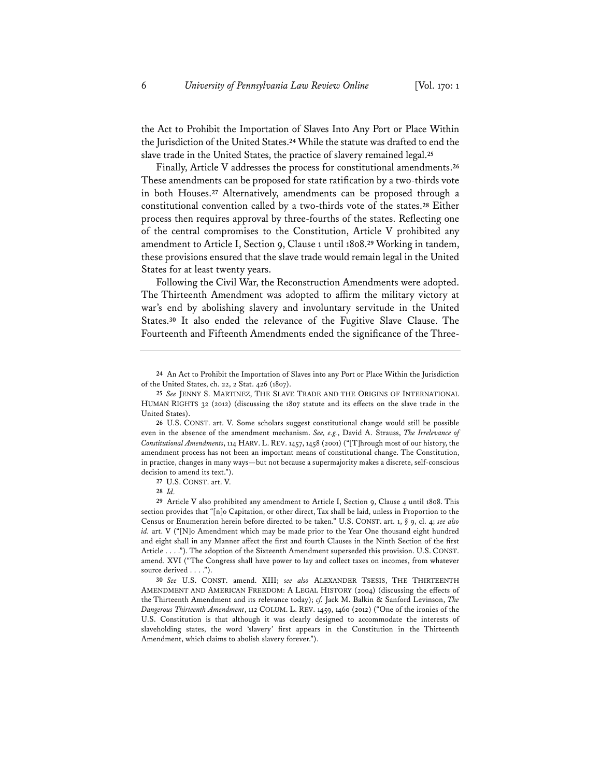the Act to Prohibit the Importation of Slaves Into Any Port or Place Within the Jurisdiction of the United States.**<sup>24</sup>** While the statute was drafted to end the slave trade in the United States, the practice of slavery remained legal.**<sup>25</sup>**

Finally, Article V addresses the process for constitutional amendments.**<sup>26</sup>** These amendments can be proposed for state ratification by a two-thirds vote in both Houses.**<sup>27</sup>** Alternatively, amendments can be proposed through a constitutional convention called by a two-thirds vote of the states.**<sup>28</sup>** Either process then requires approval by three-fourths of the states. Reflecting one of the central compromises to the Constitution, Article V prohibited any amendment to Article I, Section 9, Clause 1 until 1808.**<sup>29</sup>** Working in tandem, these provisions ensured that the slave trade would remain legal in the United States for at least twenty years.

Following the Civil War, the Reconstruction Amendments were adopted. The Thirteenth Amendment was adopted to affirm the military victory at war's end by abolishing slavery and involuntary servitude in the United States.**<sup>30</sup>** It also ended the relevance of the Fugitive Slave Clause. The Fourteenth and Fifteenth Amendments ended the significance of the Three-

**26** U.S. CONST. art. V. Some scholars suggest constitutional change would still be possible even in the absence of the amendment mechanism. *See, e.g.*, David A. Strauss, *The Irrelevance of Constitutional Amendments*, 114 HARV. L. REV. 1457, 1458 (2001) ("[T]hrough most of our history, the amendment process has not been an important means of constitutional change. The Constitution, in practice, changes in many ways—but not because a supermajority makes a discrete, self-conscious decision to amend its text.").

**27** U.S. CONST. art. V.

**28** *Id.*

**29** Article V also prohibited any amendment to Article I, Section 9, Clause 4 until 1808. This section provides that "[n]o Capitation, or other direct, Tax shall be laid, unless in Proportion to the Census or Enumeration herein before directed to be taken." U.S. CONST. art. 1, § 9, cl. 4; *see also id.* art. V ("[N]o Amendment which may be made prior to the Year One thousand eight hundred and eight shall in any Manner affect the first and fourth Clauses in the Ninth Section of the first Article . . . ."). The adoption of the Sixteenth Amendment superseded this provision. U.S. CONST. amend. XVI ("The Congress shall have power to lay and collect taxes on incomes, from whatever source derived . . . .").

**30** *See* U.S. CONST. amend. XIII; *see also* ALEXANDER TSESIS, THE THIRTEENTH AMENDMENT AND AMERICAN FREEDOM: A LEGAL HISTORY (2004) (discussing the effects of the Thirteenth Amendment and its relevance today); *cf.* Jack M. Balkin & Sanford Levinson, *The Dangerous Thirteenth Amendment*, 112 COLUM. L. REV. 1459, 1460 (2012) ("One of the ironies of the U.S. Constitution is that although it was clearly designed to accommodate the interests of slaveholding states, the word 'slavery' first appears in the Constitution in the Thirteenth Amendment, which claims to abolish slavery forever.").

**<sup>24</sup>** An Act to Prohibit the Importation of Slaves into any Port or Place Within the Jurisdiction of the United States, ch. 22, 2 Stat. 426 (1807).

**<sup>25</sup>** *See* JENNY S. MARTINEZ, THE SLAVE TRADE AND THE ORIGINS OF INTERNATIONAL HUMAN RIGHTS 32 (2012) (discussing the 1807 statute and its effects on the slave trade in the United States).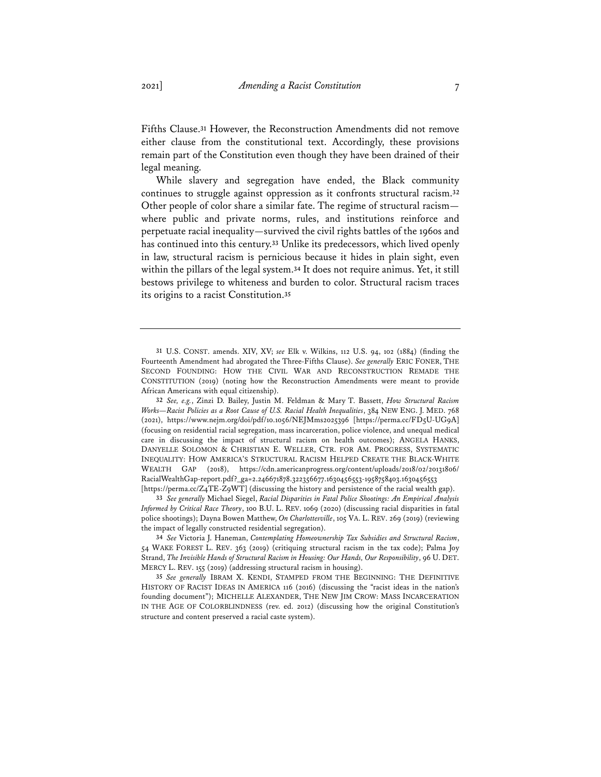Fifths Clause.**<sup>31</sup>** However, the Reconstruction Amendments did not remove either clause from the constitutional text. Accordingly, these provisions remain part of the Constitution even though they have been drained of their legal meaning.

While slavery and segregation have ended, the Black community continues to struggle against oppression as it confronts structural racism.**<sup>32</sup>** Other people of color share a similar fate. The regime of structural racism where public and private norms, rules, and institutions reinforce and perpetuate racial inequality—survived the civil rights battles of the 1960s and has continued into this century.**<sup>33</sup>** Unlike its predecessors, which lived openly in law, structural racism is pernicious because it hides in plain sight, even within the pillars of the legal system.**<sup>34</sup>** It does not require animus. Yet, it still bestows privilege to whiteness and burden to color. Structural racism traces its origins to a racist Constitution.**<sup>35</sup>**

[https://perma.cc/Z4TE-Z9WT] (discussing the history and persistence of the racial wealth gap).

**33** *See generally* Michael Siegel, *Racial Disparities in Fatal Police Shootings: An Empirical Analysis Informed by Critical Race Theory*, 100 B.U. L. REV. 1069 (2020) (discussing racial disparities in fatal police shootings); Dayna Bowen Matthew, *On Charlottesville*, 105 VA. L. REV. 269 (2019) (reviewing the impact of legally constructed residential segregation).

**34** *See* Victoria J. Haneman, *Contemplating Homeownership Tax Subsidies and Structural Racism*, 54 WAKE FOREST L. REV. 363 (2019) (critiquing structural racism in the tax code); Palma Joy Strand, *The Invisible Hands of Structural Racism in Housing: Our Hands, Our Responsibility*, 96 U. DET. MERCY L. REV. 155 (2019) (addressing structural racism in housing).

**35** *See generally* IBRAM X. KENDI, STAMPED FROM THE BEGINNING: THE DEFINITIVE HISTORY OF RACIST IDEAS IN AMERICA 116 (2016) (discussing the "racist ideas in the nation's founding document"); MICHELLE ALEXANDER, THE NEW JIM CROW: MASS INCARCERATION IN THE AGE OF COLORBLINDNESS (rev. ed. 2012) (discussing how the original Constitution's structure and content preserved a racial caste system).

**<sup>31</sup>** U.S. CONST. amends. XIV, XV; *see* Elk v. Wilkins, 112 U.S. 94, 102 (1884) (finding the Fourteenth Amendment had abrogated the Three-Fifths Clause). *See generally* ERIC FONER, THE SECOND FOUNDING: HOW THE CIVIL WAR AND RECONSTRUCTION REMADE THE CONSTITUTION (2019) (noting how the Reconstruction Amendments were meant to provide African Americans with equal citizenship).

**<sup>32</sup>** *See, e.g.*, Zinzi D. Bailey, Justin M. Feldman & Mary T. Bassett, *How Structural Racism Works—Racist Policies as a Root Cause of U.S. Racial Health Inequalities*, 384 NEW ENG. J. MED. 768 (2021), https://www.nejm.org/doi/pdf/10.1056/NEJMms2025396 [https://perma.cc/FD5U-UG9A] (focusing on residential racial segregation, mass incarceration, police violence, and unequal medical care in discussing the impact of structural racism on health outcomes); ANGELA HANKS, DANYELLE SOLOMON & CHRISTIAN E. WELLER, CTR. FOR AM. PROGRESS, SYSTEMATIC INEQUALITY: HOW AMERICA'S STRUCTURAL RACISM HELPED CREATE THE BLACK-WHITE WEALTH GAP (2018), https://cdn.americanprogress.org/content/uploads/2018/02/20131806/ RacialWealthGap-report.pdf?\_ga=2.246671878.322356677.1630456553-1958758403.1630456553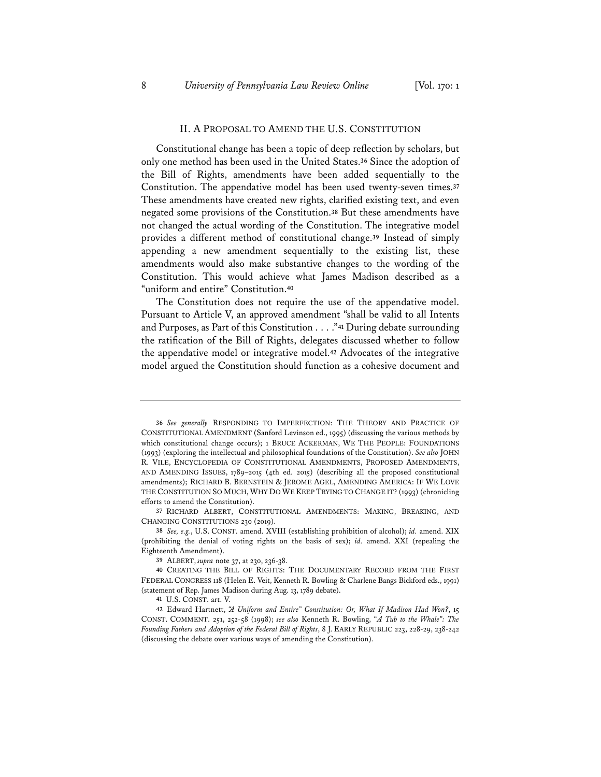#### II. A PROPOSAL TO AMEND THE U.S. CONSTITUTION

Constitutional change has been a topic of deep reflection by scholars, but only one method has been used in the United States.**<sup>36</sup>** Since the adoption of the Bill of Rights, amendments have been added sequentially to the Constitution. The appendative model has been used twenty-seven times.**<sup>37</sup>** These amendments have created new rights, clarified existing text, and even negated some provisions of the Constitution.**<sup>38</sup>** But these amendments have not changed the actual wording of the Constitution. The integrative model provides a different method of constitutional change.**<sup>39</sup>** Instead of simply appending a new amendment sequentially to the existing list, these amendments would also make substantive changes to the wording of the Constitution. This would achieve what James Madison described as a "uniform and entire" Constitution.**<sup>40</sup>**

The Constitution does not require the use of the appendative model. Pursuant to Article V, an approved amendment "shall be valid to all Intents and Purposes, as Part of this Constitution . . . ."**<sup>41</sup>** During debate surrounding the ratification of the Bill of Rights, delegates discussed whether to follow the appendative model or integrative model.**<sup>42</sup>** Advocates of the integrative model argued the Constitution should function as a cohesive document and

**<sup>36</sup>** *See generally* RESPONDING TO IMPERFECTION: THE THEORY AND PRACTICE OF CONSTITUTIONAL AMENDMENT (Sanford Levinson ed., 1995) (discussing the various methods by which constitutional change occurs); 1 BRUCE ACKERMAN, WE THE PEOPLE: FOUNDATIONS (1993) (exploring the intellectual and philosophical foundations of the Constitution). *See also* JOHN R. VILE, ENCYCLOPEDIA OF CONSTITUTIONAL AMENDMENTS, PROPOSED AMENDMENTS, AND AMENDING ISSUES, 1789–2015 (4th ed. 2015) (describing all the proposed constitutional amendments); RICHARD B. BERNSTEIN & JEROME AGEL, AMENDING AMERICA: IF WE LOVE THE CONSTITUTION SO MUCH, WHY DO WE KEEP TRYING TO CHANGE IT? (1993) (chronicling efforts to amend the Constitution).

**<sup>37</sup>** RICHARD ALBERT, CONSTITUTIONAL AMENDMENTS: MAKING, BREAKING, AND CHANGING CONSTITUTIONS 230 (2019).

**<sup>38</sup>** *See, e.g.*, U.S. CONST. amend. XVIII (establishing prohibition of alcohol); *id.* amend. XIX (prohibiting the denial of voting rights on the basis of sex); *id.* amend. XXI (repealing the Eighteenth Amendment).

**<sup>39</sup>** ALBERT, *supra* note 37, at 230, 236-38.

**<sup>40</sup>** CREATING THE BILL OF RIGHTS: THE DOCUMENTARY RECORD FROM THE FIRST FEDERAL CONGRESS 118 (Helen E. Veit, Kenneth R. Bowling & Charlene Bangs Bickford eds., 1991) (statement of Rep. James Madison during Aug. 13, 1789 debate).

**<sup>41</sup>** U.S. CONST. art. V.

**<sup>42</sup>** Edward Hartnett, *"A Uniform and Entire" Constitution: Or, What If Madison Had Won?*, 15 CONST. COMMENT. 251, 252-58 (1998); *see also* Kenneth R. Bowling, "*A Tub to the Whale": The Founding Fathers and Adoption of the Federal Bill of Rights*, 8 J. EARLY REPUBLIC 223, 228-29, 238-242 (discussing the debate over various ways of amending the Constitution).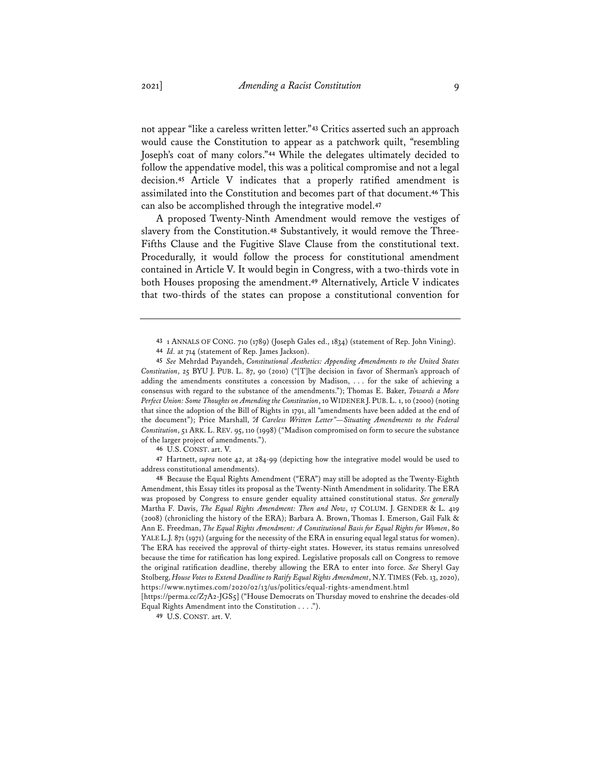not appear "like a careless written letter."**<sup>43</sup>** Critics asserted such an approach would cause the Constitution to appear as a patchwork quilt, "resembling Joseph's coat of many colors."**<sup>44</sup>** While the delegates ultimately decided to follow the appendative model, this was a political compromise and not a legal decision.**<sup>45</sup>** Article V indicates that a properly ratified amendment is assimilated into the Constitution and becomes part of that document.**<sup>46</sup>** This can also be accomplished through the integrative model.**<sup>47</sup>**

A proposed Twenty-Ninth Amendment would remove the vestiges of slavery from the Constitution.**<sup>48</sup>** Substantively, it would remove the Three-Fifths Clause and the Fugitive Slave Clause from the constitutional text. Procedurally, it would follow the process for constitutional amendment contained in Article V. It would begin in Congress, with a two-thirds vote in both Houses proposing the amendment.**<sup>49</sup>** Alternatively, Article V indicates that two-thirds of the states can propose a constitutional convention for

**47** Hartnett, *supra* note 42, at 284-99 (depicting how the integrative model would be used to address constitutional amendments).

**<sup>43</sup>** 1 ANNALS OF CONG. 710 (1789) (Joseph Gales ed., 1834) (statement of Rep. John Vining).

**<sup>44</sup>** *Id.* at 714 (statement of Rep. James Jackson).

**<sup>45</sup>** *See* Mehrdad Payandeh, *Constitutional Aesthetics: Appending Amendments to the United States Constitution*, 25 BYU J. PUB. L. 87, 90 (2010) ("[T]he decision in favor of Sherman's approach of adding the amendments constitutes a concession by Madison, . . . for the sake of achieving a consensus with regard to the substance of the amendments."); Thomas E. Baker, *Towards a More Perfect Union: Some Thoughts on Amending the Constitution*, 10 WIDENER J. PUB. L. 1, 10 (2000) (noting that since the adoption of the Bill of Rights in 1791, all "amendments have been added at the end of the document"); Price Marshall, *"A Careless Written Letter"—Situating Amendments to the Federal Constitution*, 51 ARK. L. REV. 95, 110 (1998) ("Madison compromised on form to secure the substance of the larger project of amendments.").

**<sup>46</sup>** U.S. CONST. art. V.

**<sup>48</sup>** Because the Equal Rights Amendment ("ERA") may still be adopted as the Twenty-Eighth Amendment, this Essay titles its proposal as the Twenty-Ninth Amendment in solidarity. The ERA was proposed by Congress to ensure gender equality attained constitutional status. *See generally* Martha F. Davis, *The Equal Rights Amendment: Then and Now*, 17 COLUM. J. GENDER & L. 419 (2008) (chronicling the history of the ERA); Barbara A. Brown, Thomas I. Emerson, Gail Falk & Ann E. Freedman, *The Equal Rights Amendment: A Constitutional Basis for Equal Rights for Women*, 80 YALE L.J. 871 (1971) (arguing for the necessity of the ERA in ensuring equal legal status for women). The ERA has received the approval of thirty-eight states. However, its status remains unresolved because the time for ratification has long expired. Legislative proposals call on Congress to remove the original ratification deadline, thereby allowing the ERA to enter into force. *See* Sheryl Gay Stolberg, *House Votes to Extend Deadline to Ratify Equal Rights Amendment*, N.Y.TIMES (Feb. 13, 2020), https://www.nytimes.com/2020/02/13/us/politics/equal-rights-amendment.html

<sup>[</sup>https://perma.cc/Z7A2-JGS5] ("House Democrats on Thursday moved to enshrine the decades-old Equal Rights Amendment into the Constitution . . . .").

**<sup>49</sup>** U.S. CONST. art. V.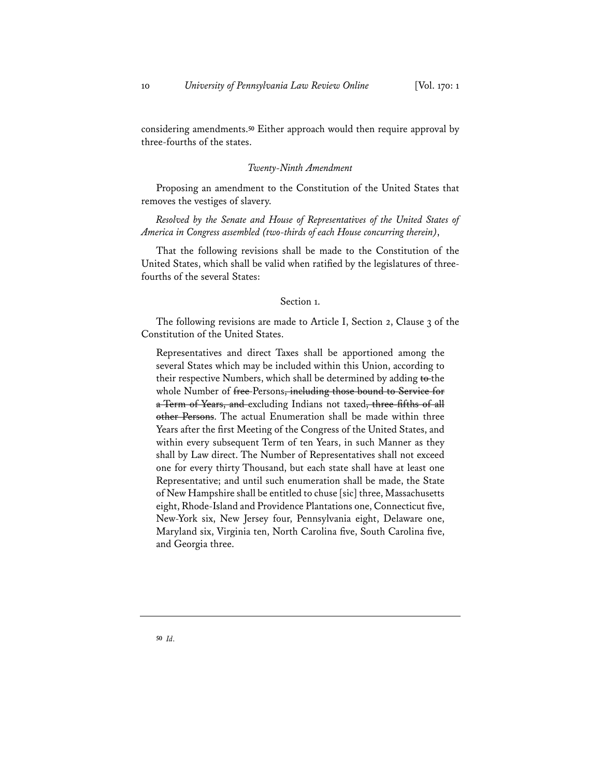considering amendments.**<sup>50</sup>** Either approach would then require approval by three-fourths of the states.

#### *Twenty-Ninth Amendment*

Proposing an amendment to the Constitution of the United States that removes the vestiges of slavery.

*Resolved by the Senate and House of Representatives of the United States of America in Congress assembled (two-thirds of each House concurring therein)*,

That the following revisions shall be made to the Constitution of the United States, which shall be valid when ratified by the legislatures of threefourths of the several States:

### Section 1.

The following revisions are made to Article I, Section 2, Clause 3 of the Constitution of the United States.

Representatives and direct Taxes shall be apportioned among the several States which may be included within this Union, according to their respective Numbers, which shall be determined by adding to the whole Number of free-Persons, including those bound to Service for a Term of Years, and excluding Indians not taxed, three-fifths of all other Persons. The actual Enumeration shall be made within three Years after the first Meeting of the Congress of the United States, and within every subsequent Term of ten Years, in such Manner as they shall by Law direct. The Number of Representatives shall not exceed one for every thirty Thousand, but each state shall have at least one Representative; and until such enumeration shall be made, the State of New Hampshire shall be entitled to chuse [sic] three, Massachusetts eight, Rhode-Island and Providence Plantations one, Connecticut five, New-York six, New Jersey four, Pennsylvania eight, Delaware one, Maryland six, Virginia ten, North Carolina five, South Carolina five, and Georgia three.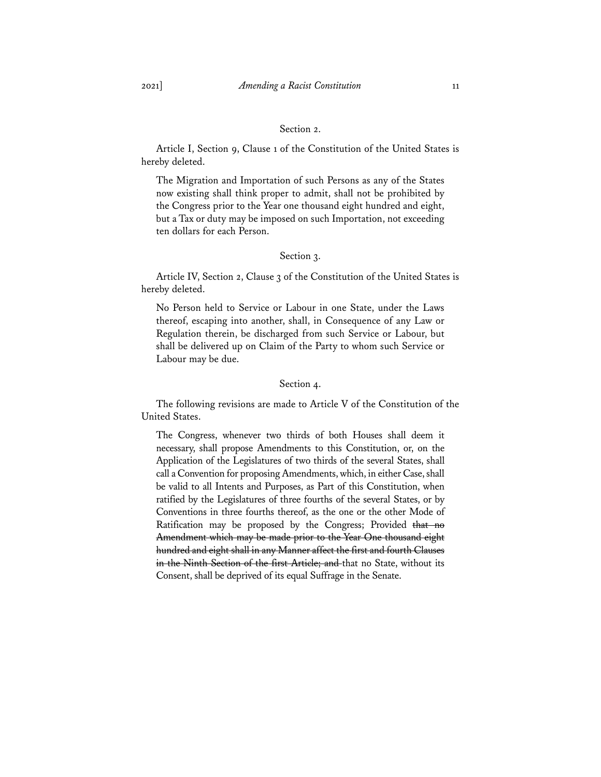## Section 2.

Article I, Section 9, Clause 1 of the Constitution of the United States is hereby deleted.

The Migration and Importation of such Persons as any of the States now existing shall think proper to admit, shall not be prohibited by the Congress prior to the Year one thousand eight hundred and eight, but a Tax or duty may be imposed on such Importation, not exceeding ten dollars for each Person.

## Section 3.

Article IV, Section 2, Clause 3 of the Constitution of the United States is hereby deleted.

No Person held to Service or Labour in one State, under the Laws thereof, escaping into another, shall, in Consequence of any Law or Regulation therein, be discharged from such Service or Labour, but shall be delivered up on Claim of the Party to whom such Service or Labour may be due.

## Section 4.

The following revisions are made to Article V of the Constitution of the United States.

The Congress, whenever two thirds of both Houses shall deem it necessary, shall propose Amendments to this Constitution, or, on the Application of the Legislatures of two thirds of the several States, shall call a Convention for proposing Amendments, which, in either Case, shall be valid to all Intents and Purposes, as Part of this Constitution, when ratified by the Legislatures of three fourths of the several States, or by Conventions in three fourths thereof, as the one or the other Mode of Ratification may be proposed by the Congress; Provided that no Amendment which may be made prior to the Year One thousand eight hundred and eight shall in any Manner affect the first and fourth Clauses in the Ninth Section of the first Article; and that no State, without its Consent, shall be deprived of its equal Suffrage in the Senate.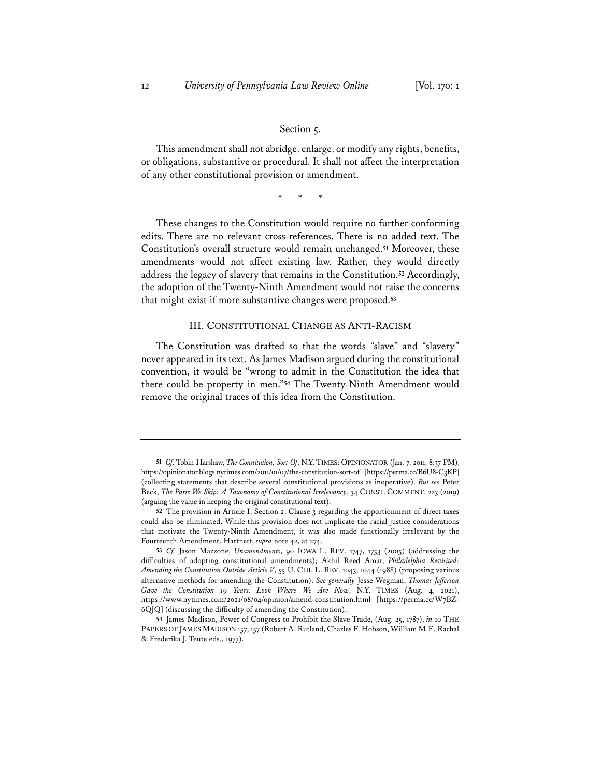#### Section 5.

This amendment shall not abridge, enlarge, or modify any rights, benefits, or obligations, substantive or procedural. It shall not affect the interpretation of any other constitutional provision or amendment.

\* \* \*

These changes to the Constitution would require no further conforming edits. There are no relevant cross-references. There is no added text. The Constitution's overall structure would remain unchanged.**<sup>51</sup>** Moreover, these amendments would not affect existing law. Rather, they would directly address the legacy of slavery that remains in the Constitution.**<sup>52</sup>** Accordingly, the adoption of the Twenty-Ninth Amendment would not raise the concerns that might exist if more substantive changes were proposed.**<sup>53</sup>**

#### III. CONSTITUTIONAL CHANGE AS ANTI-RACISM

The Constitution was drafted so that the words "slave" and "slavery" never appeared in its text. As James Madison argued during the constitutional convention, it would be "wrong to admit in the Constitution the idea that there could be property in men."**<sup>54</sup>** The Twenty-Ninth Amendment would remove the original traces of this idea from the Constitution.

**<sup>51</sup>** *Cf*. Tobin Harshaw, *The Constitution, Sort Of*, N.Y. TIMES: OPINIONATOR (Jan. 7, 2011, 8:37 PM), https://opinionator.blogs.nytimes.com/2011/01/07/the-constitution-sort-of [https://perma.cc/B6U8-C3KP] (collecting statements that describe several constitutional provisions as inoperative). *But see* Peter Beck, *The Parts We Skip: A Taxonomy of Constitutional Irrelevancy*, 34 CONST. COMMENT. 223 (2019) (arguing the value in keeping the original constitutional text).

**<sup>52</sup>** The provision in Article I, Section 2, Clause 3 regarding the apportionment of direct taxes could also be eliminated. While this provision does not implicate the racial justice considerations that motivate the Twenty-Ninth Amendment, it was also made functionally irrelevant by the Fourteenth Amendment. Hartnett, *supra* note 42, at 274.

**<sup>53</sup>** *Cf.* Jason Mazzone, *Unamendments*, 90 IOWA L. REV. 1747, 1753 (2005) (addressing the difficulties of adopting constitutional amendments); Akhil Reed Amar, *Philadelphia Revisited: Amending the Constitution Outside Article V*, 55 U. CHI. L. REV. 1043, 1044 (1988) (proposing various alternative methods for amending the Constitution). *See generally* Jesse Wegman, *Thomas Jefferson Gave the Constitution 19 Years. Look Where We Are Now*, N.Y. TIMES (Aug. 4, 2021), https://www.nytimes.com/2021/08/04/opinion/amend-constitution.html [https://perma.cc/W7BZ-6QJQ] (discussing the difficulty of amending the Constitution).

**<sup>54</sup>** James Madison, Power of Congress to Prohibit the Slave Trade, (Aug. 25, 1787), *in* 10 THE PAPERS OF JAMES MADISON 157, 157 (Robert A. Rutland, Charles F. Hobson, William M.E. Rachal & Frederika J. Teute eds., 1977).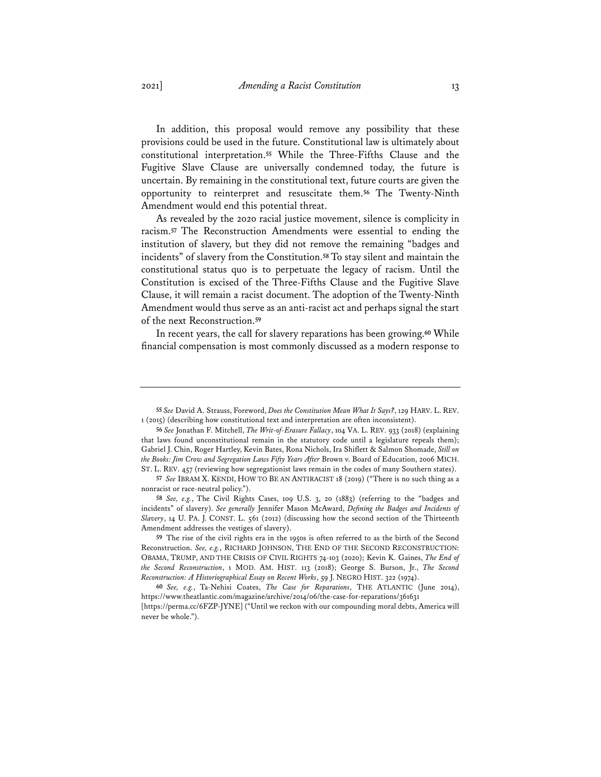In addition, this proposal would remove any possibility that these provisions could be used in the future. Constitutional law is ultimately about constitutional interpretation.**<sup>55</sup>** While the Three-Fifths Clause and the Fugitive Slave Clause are universally condemned today, the future is uncertain. By remaining in the constitutional text, future courts are given the opportunity to reinterpret and resuscitate them.**<sup>56</sup>** The Twenty-Ninth Amendment would end this potential threat.

As revealed by the 2020 racial justice movement, silence is complicity in racism.**<sup>57</sup>** The Reconstruction Amendments were essential to ending the institution of slavery, but they did not remove the remaining "badges and incidents" of slavery from the Constitution.**<sup>58</sup>** To stay silent and maintain the constitutional status quo is to perpetuate the legacy of racism. Until the Constitution is excised of the Three-Fifths Clause and the Fugitive Slave Clause, it will remain a racist document. The adoption of the Twenty-Ninth Amendment would thus serve as an anti-racist act and perhaps signal the start of the next Reconstruction.**<sup>59</sup>**

In recent years, the call for slavery reparations has been growing.**<sup>60</sup>** While financial compensation is most commonly discussed as a modern response to

**<sup>55</sup>** *See* David A. Strauss, Foreword, *Does the Constitution Mean What It Says?*, 129 HARV. L. REV. 1 (2015) (describing how constitutional text and interpretation are often inconsistent).

**<sup>56</sup>** *See* Jonathan F. Mitchell, *The Writ-of-Erasure Fallacy*, 104 VA. L. REV. 933 (2018) (explaining that laws found unconstitutional remain in the statutory code until a legislature repeals them); Gabriel J. Chin, Roger Hartley, Kevin Bates, Rona Nichols, Ira Shiflett & Salmon Shomade, *Still on the Books: Jim Crow and Segregation Laws Fifty Years After* Brown v. Board of Education, 2006 MICH. ST. L. REV. 457 (reviewing how segregationist laws remain in the codes of many Southern states).

**<sup>57</sup>** *See* IBRAM X. KENDI, HOW TO BE AN ANTIRACIST 18 (2019) ("There is no such thing as a nonracist or race-neutral policy.").

**<sup>58</sup>** *See, e.g.*, The Civil Rights Cases, 109 U.S. 3, 20 (1883) (referring to the "badges and incidents" of slavery). *See generally* Jennifer Mason McAward, *Defning the Badges and Incidents of Slavery*, 14 U. PA. J. CONST. L. 561 (2012) (discussing how the second section of the Thirteenth Amendment addresses the vestiges of slavery).

**<sup>59</sup>** The rise of the civil rights era in the 1950s is often referred to as the birth of the Second Reconstruction. *See, e.g.*, RICHARD JOHNSON, THE END OF THE SECOND RECONSTRUCTION: OBAMA, TRUMP, AND THE CRISIS OF CIVIL RIGHTS 74-103 (2020); Kevin K. Gaines, *The End of the Second Reconstruction*, 1 MOD. AM. HIST. 113 (2018); George S. Burson, Jr., *The Second Reconstruction: A Historiographical Essay on Recent Works*, 59 J. NEGRO HIST. 322 (1974).

**<sup>60</sup>** *See, e.g.*, Ta-Nehisi Coates, *The Case for Reparations*, THE ATLANTIC (June 2014), https://www.theatlantic.com/magazine/archive/2014/06/the-case-for-reparations/361631

<sup>[</sup>https://perma.cc/6FZP-JYNE] ("Until we reckon with our compounding moral debts, America will never be whole.").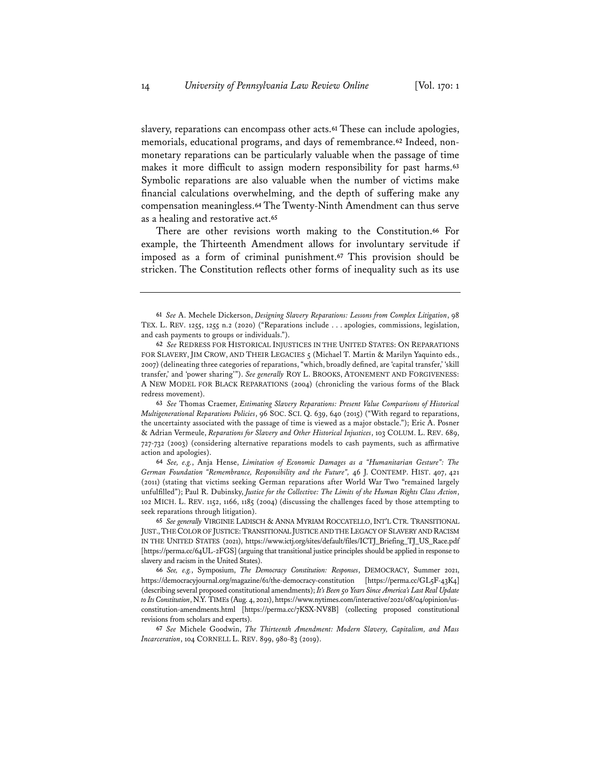slavery, reparations can encompass other acts.**<sup>61</sup>** These can include apologies, memorials, educational programs, and days of remembrance.**<sup>62</sup>** Indeed, nonmonetary reparations can be particularly valuable when the passage of time makes it more difficult to assign modern responsibility for past harms.**<sup>63</sup>** Symbolic reparations are also valuable when the number of victims make financial calculations overwhelming, and the depth of suffering make any compensation meaningless.**<sup>64</sup>** The Twenty-Ninth Amendment can thus serve as a healing and restorative act.**<sup>65</sup>**

There are other revisions worth making to the Constitution.**<sup>66</sup>** For example, the Thirteenth Amendment allows for involuntary servitude if imposed as a form of criminal punishment.**<sup>67</sup>** This provision should be stricken. The Constitution reflects other forms of inequality such as its use

**<sup>61</sup>** *See* A. Mechele Dickerson, *Designing Slavery Reparations: Lessons from Complex Litigation*, 98 TEX. L. REV. 1255, 1255 n.2 (2020) ("Reparations include . . . apologies, commissions, legislation, and cash payments to groups or individuals.").

**<sup>62</sup>** *See* REDRESS FOR HISTORICAL INJUSTICES IN THE UNITED STATES: ON REPARATIONS FOR SLAVERY, JIM CROW, AND THEIR LEGACIES 5 (Michael T. Martin & Marilyn Yaquinto eds., 2007) (delineating three categories of reparations, "which, broadly defined, are 'capital transfer,' 'skill transfer,' and 'power sharing'"). *See generally* ROY L. BROOKS, ATONEMENT AND FORGIVENESS: A NEW MODEL FOR BLACK REPARATIONS (2004) (chronicling the various forms of the Black redress movement).

**<sup>63</sup>** *See* Thomas Craemer, *Estimating Slavery Reparations: Present Value Comparisons of Historical Multigenerational Reparations Policies*, 96 SOC. SCI. Q. 639, 640 (2015) ("With regard to reparations, the uncertainty associated with the passage of time is viewed as a major obstacle."); Eric A. Posner & Adrian Vermeule, *Reparations for Slavery and Other Historical Injustices*, 103 COLUM. L. REV. 689, 727-732 (2003) (considering alternative reparations models to cash payments, such as affirmative action and apologies).

**<sup>64</sup>** *See, e.g.*, Anja Hense, *Limitation of Economic Damages as a "Humanitarian Gesture": The German Foundation "Remembrance, Responsibility and the Future",* 46 J. CONTEMP. HIST. 407, 421 (2011) (stating that victims seeking German reparations after World War Two "remained largely unfulfilled"); Paul R. Dubinsky, *Justice for the Collective: The Limits of the Human Rights Class Action*, 102 MICH. L. REV. 1152, 1166, 1185 (2004) (discussing the challenges faced by those attempting to seek reparations through litigation).

**<sup>65</sup>** *See generally* VIRGINIE LADISCH & ANNA MYRIAM ROCCATELLO, INT'L CTR. TRANSITIONAL JUST.,THE COLOR OF JUSTICE:TRANSITIONAL JUSTICE AND THE LEGACY OF SLAVERY AND RACISM IN THE UNITED STATES (2021), https://www.ictj.org/sites/default/files/ICTJ\_Briefing\_TJ\_US\_Race.pdf [https://perma.cc/64UL-2FGS] (arguing that transitional justice principles should be applied in response to slavery and racism in the United States).

**<sup>66</sup>** *See, e.g.*, Symposium, *The Democracy Constitution: Responses*, DEMOCRACY, Summer 2021, https://democracyjournal.org/magazine/61/the-democracy-constitution [https://perma.cc/GL5F-43K4] (describing several proposed constitutional amendments); *It's Been 50 Years Since America's Last Real Update to Its Constitution*, N.Y. TIMEs (Aug. 4, 2021), https://www.nytimes.com/interactive/2021/08/04/opinion/usconstitution-amendments.html [https://perma.cc/7KSX-NV8B] (collecting proposed constitutional revisions from scholars and experts).

**<sup>67</sup>** *See* Michele Goodwin, *The Thirteenth Amendment: Modern Slavery, Capitalism, and Mass Incarceration*, 104 CORNELL L. REV. 899, 980-83 (2019).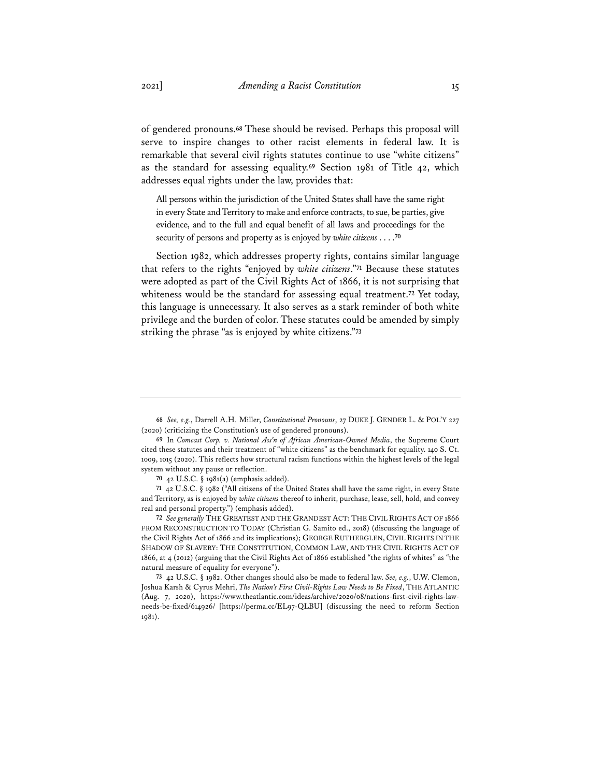of gendered pronouns.**<sup>68</sup>** These should be revised. Perhaps this proposal will serve to inspire changes to other racist elements in federal law. It is remarkable that several civil rights statutes continue to use "white citizens" as the standard for assessing equality.**<sup>69</sup>** Section 1981 of Title 42, which addresses equal rights under the law, provides that:

All persons within the jurisdiction of the United States shall have the same right in every State and Territory to make and enforce contracts, to sue, be parties, give evidence, and to the full and equal benefit of all laws and proceedings for the security of persons and property as is enjoyed by *white citizens* . . . .**<sup>70</sup>**

Section 1982, which addresses property rights, contains similar language that refers to the rights "enjoyed by *white citizens*."**<sup>71</sup>** Because these statutes were adopted as part of the Civil Rights Act of 1866, it is not surprising that whiteness would be the standard for assessing equal treatment.**<sup>72</sup>** Yet today, this language is unnecessary. It also serves as a stark reminder of both white privilege and the burden of color. These statutes could be amended by simply striking the phrase "as is enjoyed by white citizens."**<sup>73</sup>**

**<sup>68</sup>** *See, e.g.*, Darrell A.H. Miller, *Constitutional Pronouns*, 27 DUKE J. GENDER L. & POL'Y 227 (2020) (criticizing the Constitution's use of gendered pronouns).

**<sup>69</sup>** In *Comcast Corp. v. National Ass'n of African American-Owned Media*, the Supreme Court cited these statutes and their treatment of "white citizens" as the benchmark for equality. 140 S. Ct. 1009, 1015 (2020). This reflects how structural racism functions within the highest levels of the legal system without any pause or reflection.

**<sup>70</sup>** 42 U.S.C. § 1981(a) (emphasis added).

**<sup>71</sup>** 42 U.S.C. § 1982 ("All citizens of the United States shall have the same right, in every State and Territory, as is enjoyed by *white citizens* thereof to inherit, purchase, lease, sell, hold, and convey real and personal property.") (emphasis added).

**<sup>72</sup>** *See generally* THE GREATEST AND THE GRANDEST ACT: THE CIVIL RIGHTS ACT OF 1866 FROM RECONSTRUCTION TO TODAY (Christian G. Samito ed., 2018) (discussing the language of the Civil Rights Act of 1866 and its implications); GEORGE RUTHERGLEN, CIVIL RIGHTS IN THE SHADOW OF SLAVERY: THE CONSTITUTION, COMMON LAW, AND THE CIVIL RIGHTS ACT OF 1866, at 4 (2012) (arguing that the Civil Rights Act of 1866 established "the rights of whites" as "the natural measure of equality for everyone").

**<sup>73</sup>** 42 U.S.C. § 1982. Other changes should also be made to federal law. *See, e.g.*, U.W. Clemon, Joshua Karsh & Cyrus Mehri, *The Nation's First Civil-Rights Law Needs to Be Fixed*, THE ATLANTIC (Aug. 7, 2020), https://www.theatlantic.com/ideas/archive/2020/08/nations-first-civil-rights-lawneeds-be-fixed/614926/ [https://perma.cc/EL97-QLBU] (discussing the need to reform Section 1981).